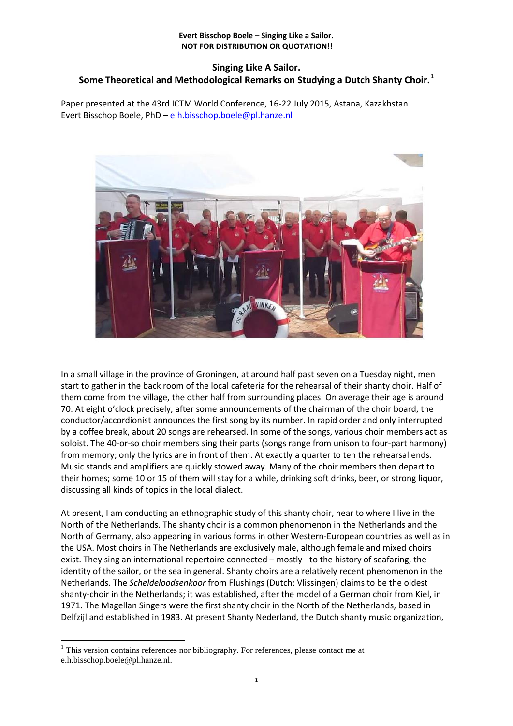# **Singing Like A Sailor. Some Theoretical and Methodological Remarks on Studying a Dutch Shanty Choir.<sup>1</sup>**

Paper presented at the 43rd ICTM World Conference, 16-22 July 2015, Astana, Kazakhstan Evert Bisschop Boele, PhD – [e.h.bisschop.boele@pl.hanze.nl](mailto:e.h.bisschop.boele@pl.hanze.nl)



In a small village in the province of Groningen, at around half past seven on a Tuesday night, men start to gather in the back room of the local cafeteria for the rehearsal of their shanty choir. Half of them come from the village, the other half from surrounding places. On average their age is around 70. At eight o'clock precisely, after some announcements of the chairman of the choir board, the conductor/accordionist announces the first song by its number. In rapid order and only interrupted by a coffee break, about 20 songs are rehearsed. In some of the songs, various choir members act as soloist. The 40-or-so choir members sing their parts (songs range from unison to four-part harmony) from memory; only the lyrics are in front of them. At exactly a quarter to ten the rehearsal ends. Music stands and amplifiers are quickly stowed away. Many of the choir members then depart to their homes; some 10 or 15 of them will stay for a while, drinking soft drinks, beer, or strong liquor, discussing all kinds of topics in the local dialect.

At present, I am conducting an ethnographic study of this shanty choir, near to where I live in the North of the Netherlands. The shanty choir is a common phenomenon in the Netherlands and the North of Germany, also appearing in various forms in other Western-European countries as well as in the USA. Most choirs in The Netherlands are exclusively male, although female and mixed choirs exist. They sing an international repertoire connected – mostly - to the history of seafaring, the identity of the sailor, or the sea in general. Shanty choirs are a relatively recent phenomenon in the Netherlands. The *Scheldeloodsenkoor* from Flushings (Dutch: Vlissingen) claims to be the oldest shanty-choir in the Netherlands; it was established, after the model of a German choir from Kiel, in 1971. The Magellan Singers were the first shanty choir in the North of the Netherlands, based in Delfzijl and established in 1983. At present Shanty Nederland, the Dutch shanty music organization,

-

<sup>&</sup>lt;sup>1</sup> This version contains references nor bibliography. For references, please contact me at e.h.bisschop.boele@pl.hanze.nl.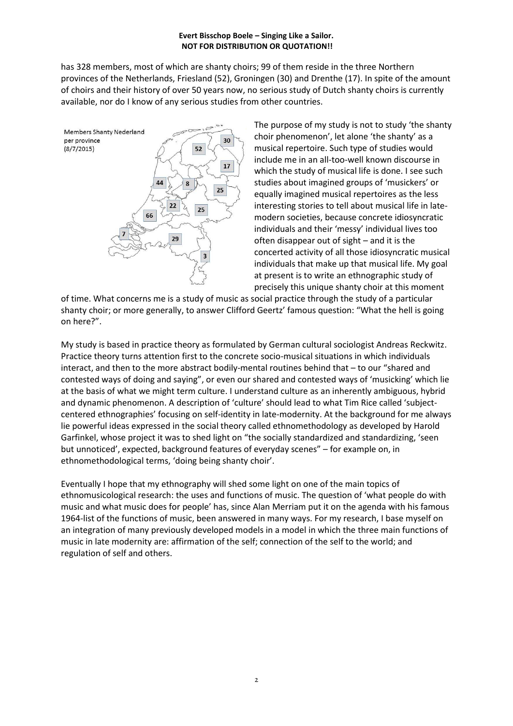has 328 members, most of which are shanty choirs; 99 of them reside in the three Northern provinces of the Netherlands, Friesland (52), Groningen (30) and Drenthe (17). In spite of the amount of choirs and their history of over 50 years now, no serious study of Dutch shanty choirs is currently available, nor do I know of any serious studies from other countries.



The purpose of my study is not to study 'the shanty choir phenomenon', let alone 'the shanty' as a musical repertoire. Such type of studies would include me in an all-too-well known discourse in which the study of musical life is done. I see such studies about imagined groups of 'musickers' or equally imagined musical repertoires as the less interesting stories to tell about musical life in latemodern societies, because concrete idiosyncratic individuals and their 'messy' individual lives too often disappear out of sight – and it is the concerted activity of all those idiosyncratic musical individuals that make up that musical life. My goal at present is to write an ethnographic study of precisely this unique shanty choir at this moment

of time. What concerns me is a study of music as social practice through the study of a particular shanty choir; or more generally, to answer Clifford Geertz' famous question: "What the hell is going on here?".

My study is based in practice theory as formulated by German cultural sociologist Andreas Reckwitz. Practice theory turns attention first to the concrete socio-musical situations in which individuals interact, and then to the more abstract bodily-mental routines behind that – to our "shared and contested ways of doing and saying", or even our shared and contested ways of 'musicking' which lie at the basis of what we might term culture. I understand culture as an inherently ambiguous, hybrid and dynamic phenomenon. A description of 'culture' should lead to what Tim Rice called 'subjectcentered ethnographies' focusing on self-identity in late-modernity. At the background for me always lie powerful ideas expressed in the social theory called ethnomethodology as developed by Harold Garfinkel, whose project it was to shed light on "the socially standardized and standardizing, 'seen but unnoticed', expected, background features of everyday scenes" – for example on, in ethnomethodological terms, 'doing being shanty choir'.

Eventually I hope that my ethnography will shed some light on one of the main topics of ethnomusicological research: the uses and functions of music. The question of 'what people do with music and what music does for people' has, since Alan Merriam put it on the agenda with his famous 1964-list of the functions of music, been answered in many ways. For my research, I base myself on an integration of many previously developed models in a model in which the three main functions of music in late modernity are: affirmation of the self; connection of the self to the world; and regulation of self and others.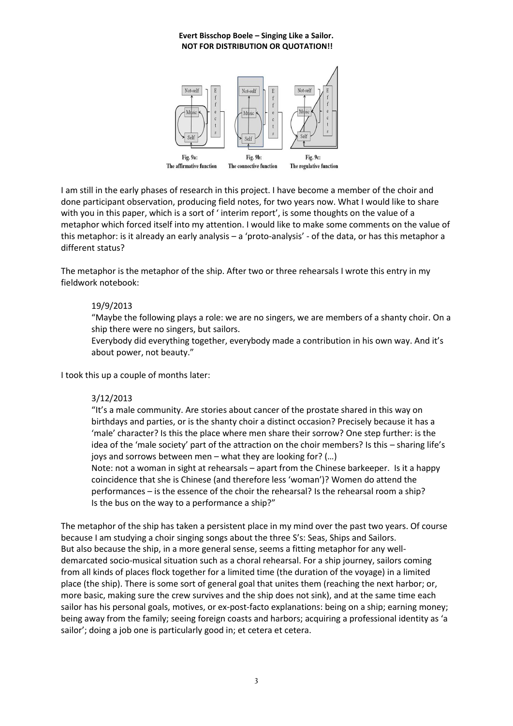

I am still in the early phases of research in this project. I have become a member of the choir and done participant observation, producing field notes, for two years now. What I would like to share with you in this paper, which is a sort of 'interim report', is some thoughts on the value of a metaphor which forced itself into my attention. I would like to make some comments on the value of this metaphor: is it already an early analysis – a 'proto-analysis' - of the data, or has this metaphor a different status?

The metaphor is the metaphor of the ship. After two or three rehearsals I wrote this entry in my fieldwork notebook:

## 19/9/2013

"Maybe the following plays a role: we are no singers, we are members of a shanty choir. On a ship there were no singers, but sailors.

Everybody did everything together, everybody made a contribution in his own way. And it's about power, not beauty."

I took this up a couple of months later:

## 3/12/2013

"It's a male community. Are stories about cancer of the prostate shared in this way on birthdays and parties, or is the shanty choir a distinct occasion? Precisely because it has a 'male' character? Is this the place where men share their sorrow? One step further: is the idea of the 'male society' part of the attraction on the choir members? Is this – sharing life's joys and sorrows between men – what they are looking for? (…) Note: not a woman in sight at rehearsals – apart from the Chinese barkeeper. Is it a happy

coincidence that she is Chinese (and therefore less 'woman')? Women do attend the performances – is the essence of the choir the rehearsal? Is the rehearsal room a ship? Is the bus on the way to a performance a ship?"

The metaphor of the ship has taken a persistent place in my mind over the past two years. Of course because I am studying a choir singing songs about the three S's: Seas, Ships and Sailors. But also because the ship, in a more general sense, seems a fitting metaphor for any welldemarcated socio-musical situation such as a choral rehearsal. For a ship journey, sailors coming from all kinds of places flock together for a limited time (the duration of the voyage) in a limited place (the ship). There is some sort of general goal that unites them (reaching the next harbor; or, more basic, making sure the crew survives and the ship does not sink), and at the same time each sailor has his personal goals, motives, or ex-post-facto explanations: being on a ship; earning money; being away from the family; seeing foreign coasts and harbors; acquiring a professional identity as 'a sailor'; doing a job one is particularly good in; et cetera et cetera.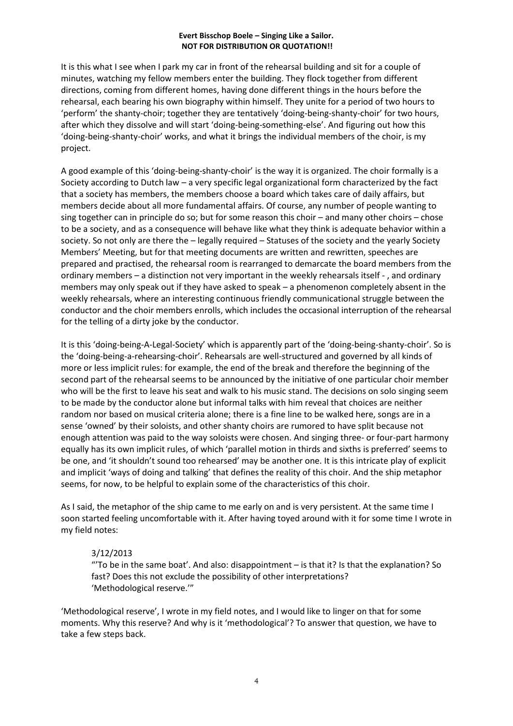It is this what I see when I park my car in front of the rehearsal building and sit for a couple of minutes, watching my fellow members enter the building. They flock together from different directions, coming from different homes, having done different things in the hours before the rehearsal, each bearing his own biography within himself. They unite for a period of two hours to 'perform' the shanty-choir; together they are tentatively 'doing-being-shanty-choir' for two hours, after which they dissolve and will start 'doing-being-something-else'. And figuring out how this 'doing-being-shanty-choir' works, and what it brings the individual members of the choir, is my project.

A good example of this 'doing-being-shanty-choir' is the way it is organized. The choir formally is a Society according to Dutch law – a very specific legal organizational form characterized by the fact that a society has members, the members choose a board which takes care of daily affairs, but members decide about all more fundamental affairs. Of course, any number of people wanting to sing together can in principle do so; but for some reason this choir – and many other choirs – chose to be a society, and as a consequence will behave like what they think is adequate behavior within a society. So not only are there the – legally required – Statuses of the society and the yearly Society Members' Meeting, but for that meeting documents are written and rewritten, speeches are prepared and practised, the rehearsal room is rearranged to demarcate the board members from the ordinary members – a distinction not very important in the weekly rehearsals itself - , and ordinary members may only speak out if they have asked to speak – a phenomenon completely absent in the weekly rehearsals, where an interesting continuous friendly communicational struggle between the conductor and the choir members enrolls, which includes the occasional interruption of the rehearsal for the telling of a dirty joke by the conductor.

It is this 'doing-being-A-Legal-Society' which is apparently part of the 'doing-being-shanty-choir'. So is the 'doing-being-a-rehearsing-choir'. Rehearsals are well-structured and governed by all kinds of more or less implicit rules: for example, the end of the break and therefore the beginning of the second part of the rehearsal seems to be announced by the initiative of one particular choir member who will be the first to leave his seat and walk to his music stand. The decisions on solo singing seem to be made by the conductor alone but informal talks with him reveal that choices are neither random nor based on musical criteria alone; there is a fine line to be walked here, songs are in a sense 'owned' by their soloists, and other shanty choirs are rumored to have split because not enough attention was paid to the way soloists were chosen. And singing three- or four-part harmony equally has its own implicit rules, of which 'parallel motion in thirds and sixths is preferred' seems to be one, and 'it shouldn't sound too rehearsed' may be another one. It is this intricate play of explicit and implicit 'ways of doing and talking' that defines the reality of this choir. And the ship metaphor seems, for now, to be helpful to explain some of the characteristics of this choir.

As I said, the metaphor of the ship came to me early on and is very persistent. At the same time I soon started feeling uncomfortable with it. After having toyed around with it for some time I wrote in my field notes:

## 3/12/2013

"'To be in the same boat'. And also: disappointment – is that it? Is that the explanation? So fast? Does this not exclude the possibility of other interpretations? 'Methodological reserve.'"

'Methodological reserve', I wrote in my field notes, and I would like to linger on that for some moments. Why this reserve? And why is it 'methodological'? To answer that question, we have to take a few steps back.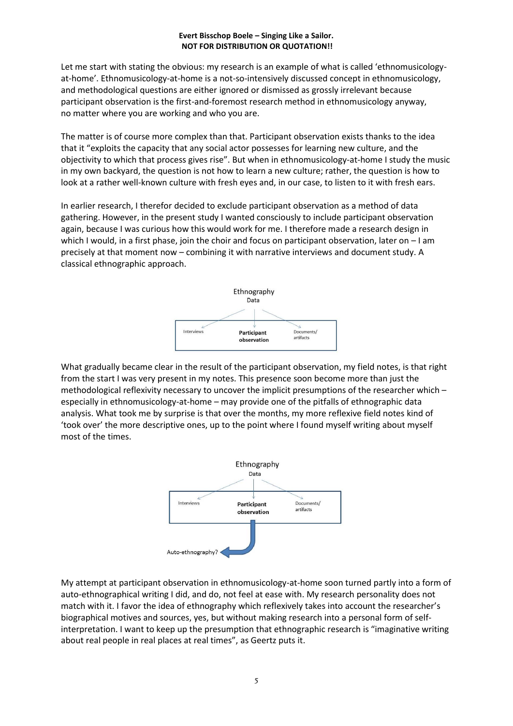Let me start with stating the obvious: my research is an example of what is called 'ethnomusicologyat-home'. Ethnomusicology-at-home is a not-so-intensively discussed concept in ethnomusicology, and methodological questions are either ignored or dismissed as grossly irrelevant because participant observation is the first-and-foremost research method in ethnomusicology anyway, no matter where you are working and who you are.

The matter is of course more complex than that. Participant observation exists thanks to the idea that it "exploits the capacity that any social actor possesses for learning new culture, and the objectivity to which that process gives rise". But when in ethnomusicology-at-home I study the music in my own backyard, the question is not how to learn a new culture; rather, the question is how to look at a rather well-known culture with fresh eyes and, in our case, to listen to it with fresh ears.

In earlier research, I therefor decided to exclude participant observation as a method of data gathering. However, in the present study I wanted consciously to include participant observation again, because I was curious how this would work for me. I therefore made a research design in which I would, in a first phase, join the choir and focus on participant observation, later on – I am precisely at that moment now – combining it with narrative interviews and document study. A classical ethnographic approach.



What gradually became clear in the result of the participant observation, my field notes, is that right from the start I was very present in my notes. This presence soon become more than just the methodological reflexivity necessary to uncover the implicit presumptions of the researcher which – especially in ethnomusicology-at-home – may provide one of the pitfalls of ethnographic data analysis. What took me by surprise is that over the months, my more reflexive field notes kind of 'took over' the more descriptive ones, up to the point where I found myself writing about myself most of the times.



My attempt at participant observation in ethnomusicology-at-home soon turned partly into a form of auto-ethnographical writing I did, and do, not feel at ease with. My research personality does not match with it. I favor the idea of ethnography which reflexively takes into account the researcher's biographical motives and sources, yes, but without making research into a personal form of selfinterpretation. I want to keep up the presumption that ethnographic research is "imaginative writing about real people in real places at real times", as Geertz puts it.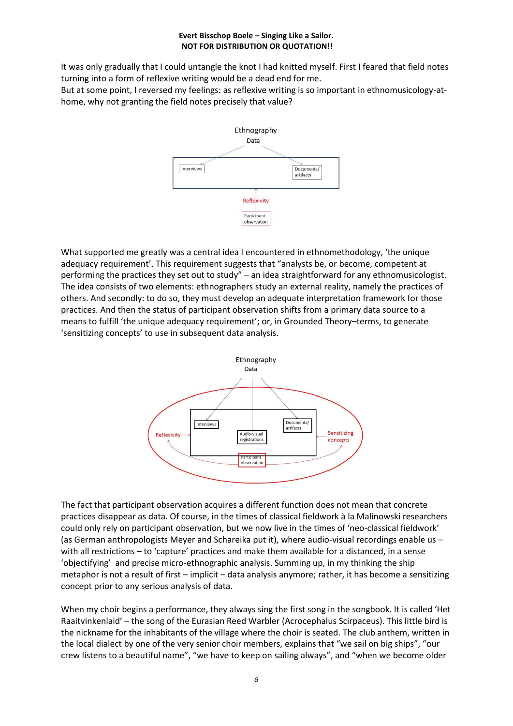It was only gradually that I could untangle the knot I had knitted myself. First I feared that field notes turning into a form of reflexive writing would be a dead end for me. But at some point, I reversed my feelings: as reflexive writing is so important in ethnomusicology-at-

home, why not granting the field notes precisely that value?



What supported me greatly was a central idea I encountered in ethnomethodology, 'the unique adequacy requirement'. This requirement suggests that "analysts be, or become, competent at performing the practices they set out to study" – an idea straightforward for any ethnomusicologist. The idea consists of two elements: ethnographers study an external reality, namely the practices of others. And secondly: to do so, they must develop an adequate interpretation framework for those practices. And then the status of participant observation shifts from a primary data source to a means to fulfill 'the unique adequacy requirement'; or, in Grounded Theory–terms, to generate 'sensitizing concepts' to use in subsequent data analysis.



The fact that participant observation acquires a different function does not mean that concrete practices disappear as data. Of course, in the times of classical fieldwork à la Malinowski researchers could only rely on participant observation, but we now live in the times of 'neo-classical fieldwork' (as German anthropologists Meyer and Schareika put it), where audio-visual recordings enable us – with all restrictions – to 'capture' practices and make them available for a distanced, in a sense 'objectifying' and precise micro-ethnographic analysis. Summing up, in my thinking the ship metaphor is not a result of first – implicit – data analysis anymore; rather, it has become a sensitizing concept prior to any serious analysis of data.

When my choir begins a performance, they always sing the first song in the songbook. It is called 'Het Raaitvinkenlaid' – the song of the Eurasian Reed Warbler (Acrocephalus Scirpaceus). This little bird is the nickname for the inhabitants of the village where the choir is seated. The club anthem, written in the local dialect by one of the very senior choir members, explains that "we sail on big ships", "our crew listens to a beautiful name", "we have to keep on sailing always", and "when we become older